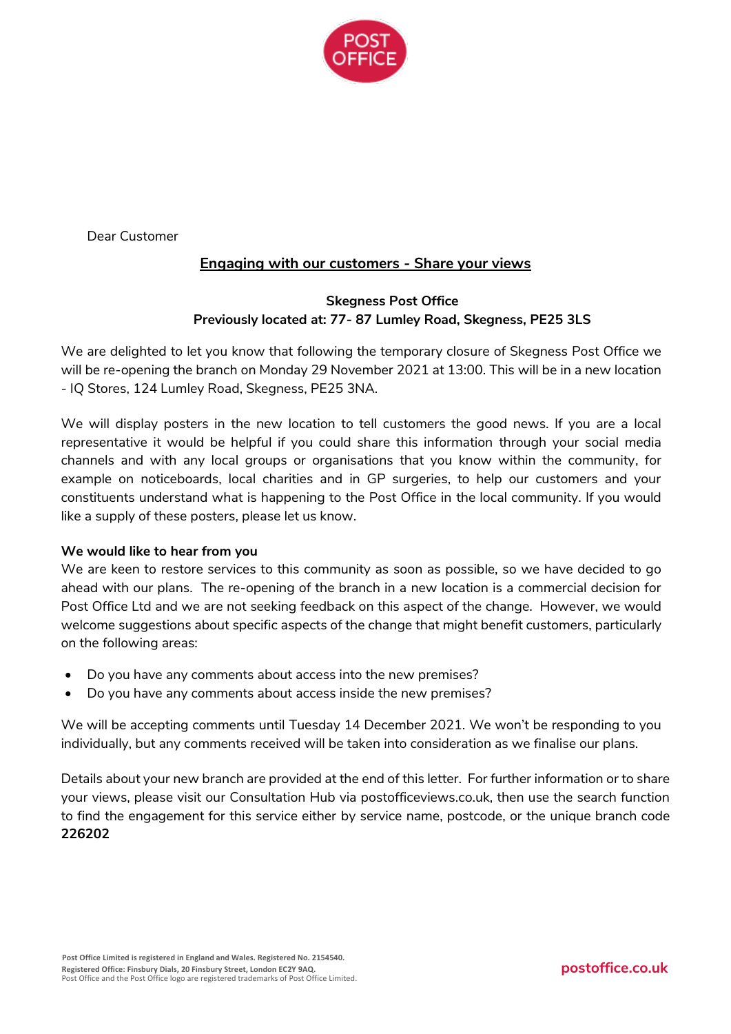

Dear Customer

# **Engaging with our customers - Share your views**

### **Skegness Post Office Previously located at: 77- 87 Lumley Road, Skegness, PE25 3LS**

We are delighted to let you know that following the temporary closure of Skegness Post Office we will be re-opening the branch on Monday 29 November 2021 at 13:00. This will be in a new location - IQ Stores, 124 Lumley Road, Skegness, PE25 3NA.

We will display posters in the new location to tell customers the good news. If you are a local representative it would be helpful if you could share this information through your social media channels and with any local groups or organisations that you know within the community, for example on noticeboards, local charities and in GP surgeries, to help our customers and your constituents understand what is happening to the Post Office in the local community. If you would like a supply of these posters, please let us know.

#### **We would like to hear from you**

We are keen to restore services to this community as soon as possible, so we have decided to go ahead with our plans. The re-opening of the branch in a new location is a commercial decision for Post Office Ltd and we are not seeking feedback on this aspect of the change. However, we would welcome suggestions about specific aspects of the change that might benefit customers, particularly on the following areas:

- Do you have any comments about access into the new premises?
- Do you have any comments about access inside the new premises?

We will be accepting comments until Tuesday 14 December 2021. We won't be responding to you individually, but any comments received will be taken into consideration as we finalise our plans.

Details about your new branch are provided at the end of this letter. For further information or to share your views, please visit our Consultation Hub via postofficeviews.co.uk, then use the search function to find the engagement for this service either by service name, postcode, or the unique branch code **226202**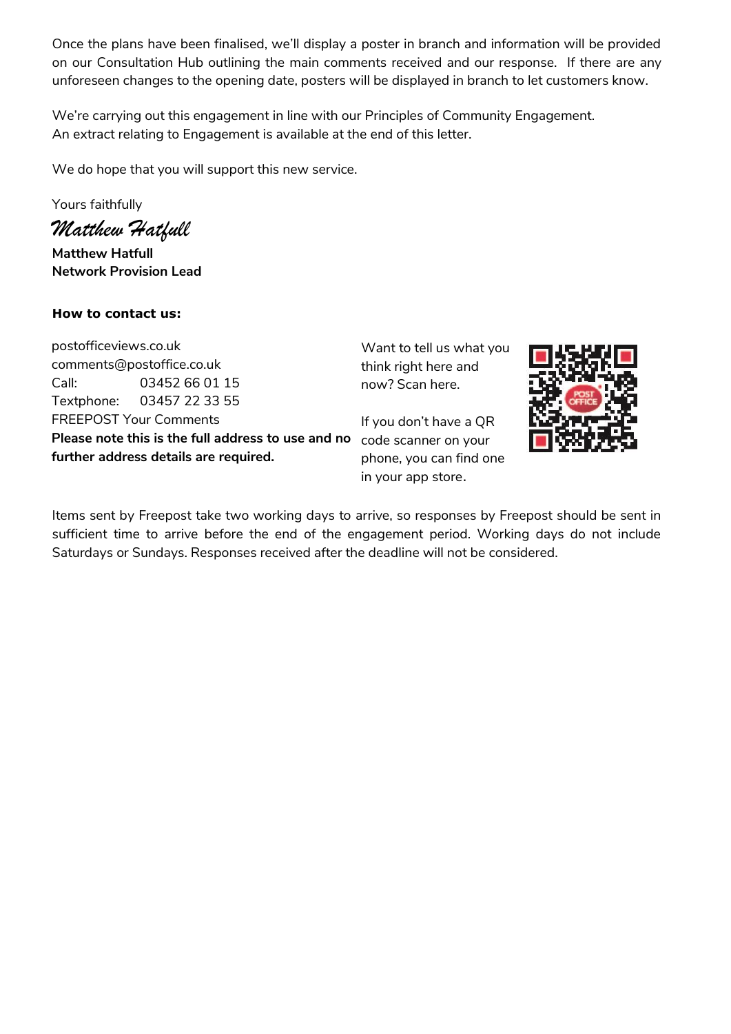Once the plans have been finalised, we'll display a poster in branch and information will be provided on our Consultation Hub outlining the main comments received and our response. If there are any unforeseen changes to the opening date, posters will be displayed in branch to let customers know.

We're carrying out this engagement in line with our Principles of Community Engagement. An extract relating to Engagement is available at the end of this letter.

We do hope that you will support this new service.

Yours faithfully

*Matthew Hatfull* 

**Matthew Hatfull Network Provision Lead**

# **How to contact us:**

postofficeviews.co.uk comments@postoffice.co.uk Call: 03452 66 01 15 Textphone: 03457 22 33 55 FREEPOST Your Comments **Please note this is the full address to use and no**  code scanner on your **further address details are required.**

Want to tell us what you think right here and now? Scan here.

If you don't have a QR phone, you can find one in your app store.



Items sent by Freepost take two working days to arrive, so responses by Freepost should be sent in sufficient time to arrive before the end of the engagement period. Working days do not include Saturdays or Sundays. Responses received after the deadline will not be considered.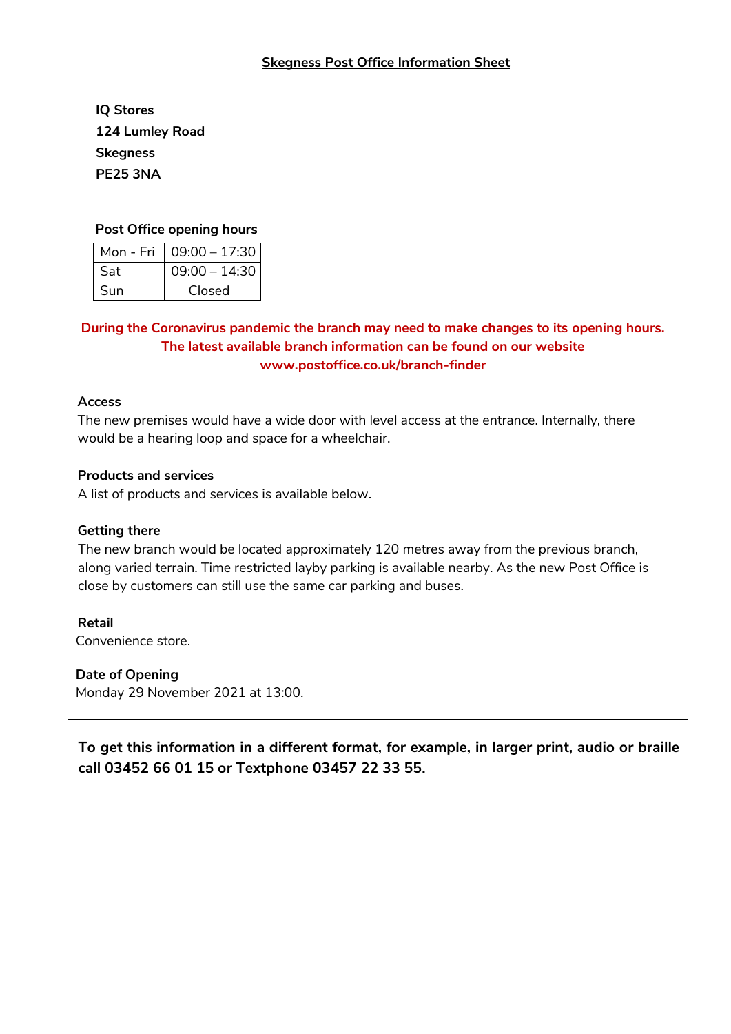• **IQ Stores** • **124 Lumley Road** • **Skegness** • **PE25 3NA**

#### **Post Office opening hours**

| Mon - Fri | $09:00 - 17:30$ |
|-----------|-----------------|
| Sat       | $09:00 - 14:30$ |
| Sun       | Closed          |

## **During the Coronavirus pandemic the branch may need to make changes to its opening hours. The latest available branch information can be found on our website www.postoffice.co.uk/branch-finder**

#### **Access**

The new premises would have a wide door with level access at the entrance. Internally, there would be a hearing loop and space for a wheelchair.

#### **Products and services**

A list of products and services is available below.

#### **Getting there**

The new branch would be located approximately 120 metres away from the previous branch, along varied terrain. Time restricted layby parking is available nearby. As the new Post Office is close by customers can still use the same car parking and buses.

# **Retail**

Convenience store.

#### **Date of Opening**

Monday 29 November 2021 at 13:00.

**To get this information in a different format, for example, in larger print, audio or braille call 03452 66 01 15 or Textphone 03457 22 33 55.**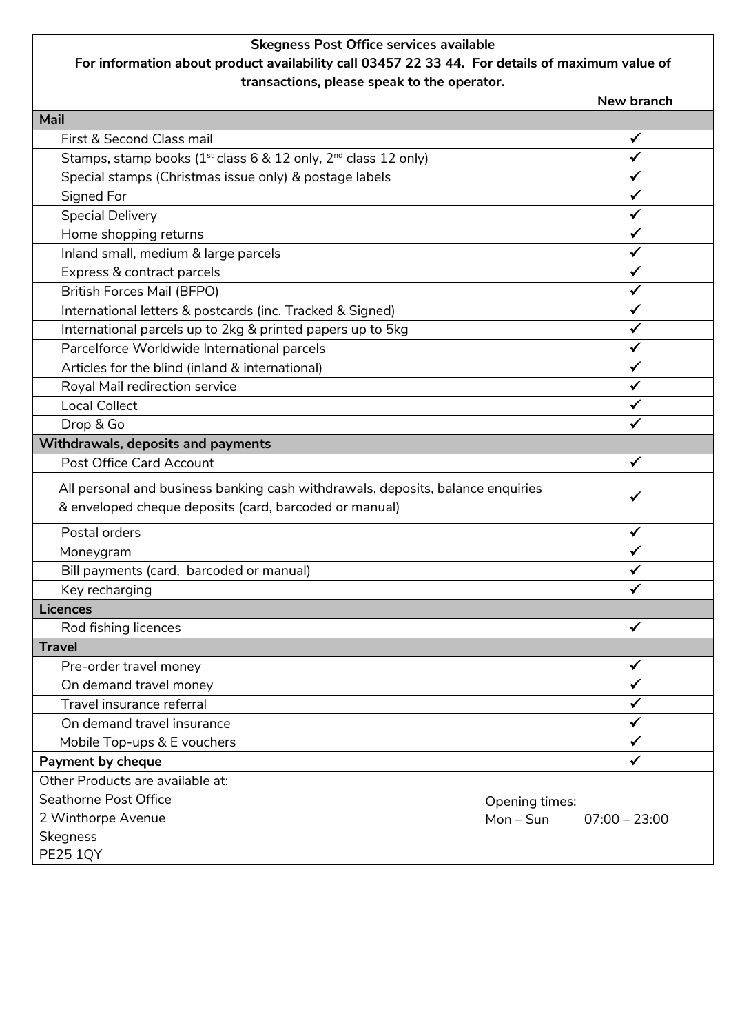# **Skegness Post Office services available**

# **For information about product availability call 03457 22 33 44. For details of maximum value of transactions, please speak to the operator.**

|                                                                                                                                           | New branch                   |
|-------------------------------------------------------------------------------------------------------------------------------------------|------------------------------|
| Mail                                                                                                                                      |                              |
| First & Second Class mail                                                                                                                 | ✓                            |
| Stamps, stamp books ( $1st$ class 6 & 12 only, $2nd$ class 12 only)                                                                       | ✓                            |
| Special stamps (Christmas issue only) & postage labels                                                                                    |                              |
| Signed For                                                                                                                                |                              |
| <b>Special Delivery</b>                                                                                                                   |                              |
| Home shopping returns                                                                                                                     |                              |
| Inland small, medium & large parcels                                                                                                      |                              |
| Express & contract parcels                                                                                                                | ✓                            |
| <b>British Forces Mail (BFPO)</b>                                                                                                         | ✓                            |
| International letters & postcards (inc. Tracked & Signed)                                                                                 |                              |
| International parcels up to 2kg & printed papers up to 5kg                                                                                |                              |
| Parcelforce Worldwide International parcels                                                                                               |                              |
| Articles for the blind (inland & international)                                                                                           |                              |
| Royal Mail redirection service                                                                                                            |                              |
| <b>Local Collect</b>                                                                                                                      |                              |
| Drop & Go                                                                                                                                 |                              |
| Withdrawals, deposits and payments                                                                                                        |                              |
| Post Office Card Account                                                                                                                  | $\checkmark$                 |
| All personal and business banking cash withdrawals, deposits, balance enquiries<br>& enveloped cheque deposits (card, barcoded or manual) | ✓                            |
| Postal orders                                                                                                                             |                              |
| Moneygram                                                                                                                                 |                              |
| Bill payments (card, barcoded or manual)                                                                                                  |                              |
| Key recharging                                                                                                                            |                              |
| <b>Licences</b>                                                                                                                           |                              |
| Rod fishing licences                                                                                                                      |                              |
| <b>Travel</b>                                                                                                                             |                              |
| Pre-order travel money                                                                                                                    | ✔                            |
| On demand travel money                                                                                                                    | ✓                            |
| Travel insurance referral                                                                                                                 |                              |
| On demand travel insurance                                                                                                                |                              |
| Mobile Top-ups & E vouchers                                                                                                               | ✓                            |
| Payment by cheque                                                                                                                         | ✓                            |
| Other Products are available at:                                                                                                          |                              |
| Seathorne Post Office<br>Opening times:                                                                                                   |                              |
| 2 Winthorpe Avenue                                                                                                                        | $Mon-Sun$<br>$07:00 - 23:00$ |
| <b>Skegness</b>                                                                                                                           |                              |
| <b>PE25 1QY</b>                                                                                                                           |                              |